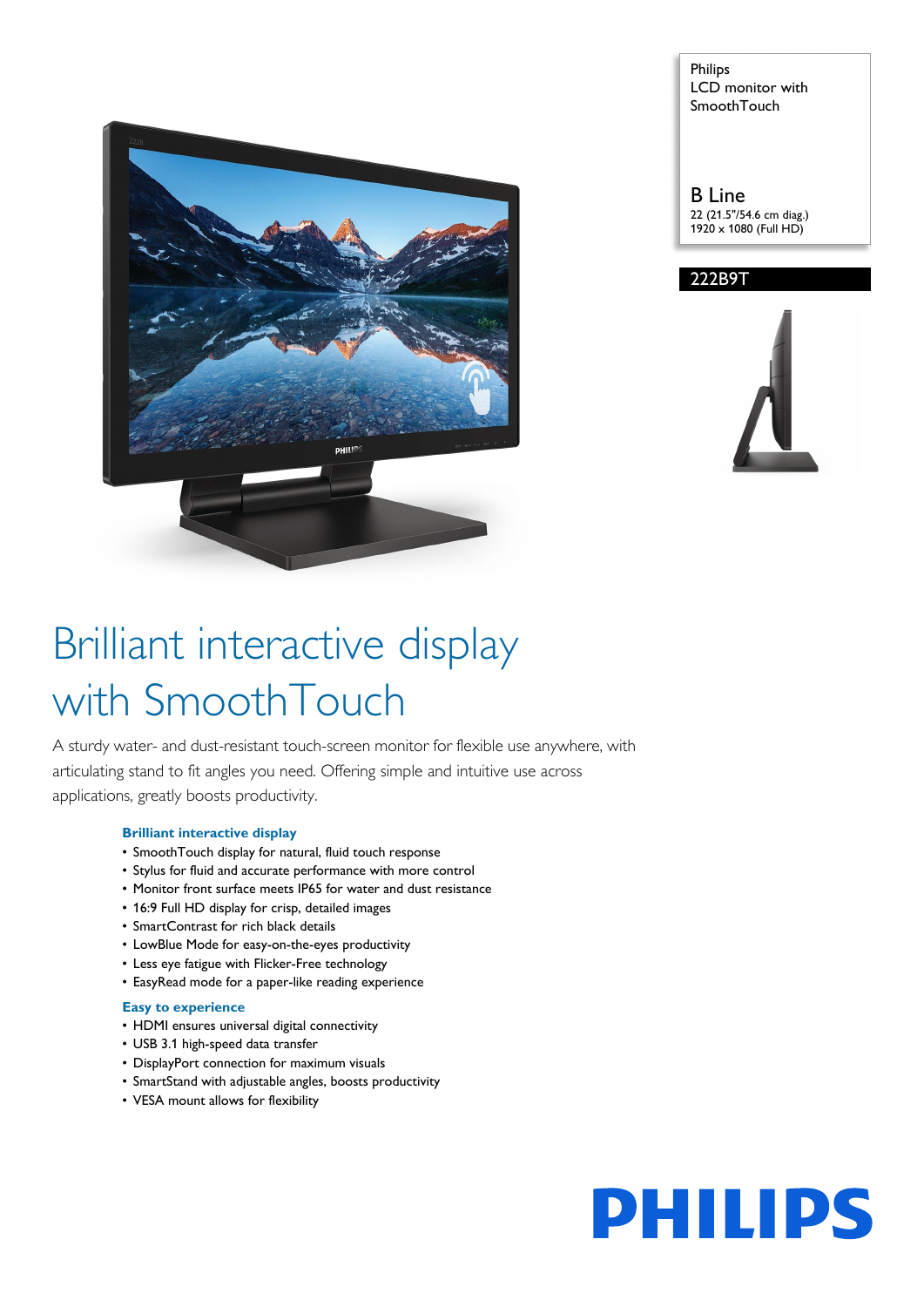

Philips LCD monitor with **SmoothTouch** 

B Line 22 (21.5"/54.6 cm diag.) 1920 x 1080 (Full HD)





# Brilliant interactive display with SmoothTouch

A sturdy water- and dust-resistant touch-screen monitor for flexible use anywhere, with articulating stand to fit angles you need. Offering simple and intuitive use across applications, greatly boosts productivity.

## **Brilliant interactive display**

- SmoothTouch display for natural, fluid touch response
- Stylus for fluid and accurate performance with more control
- Monitor front surface meets IP65 for water and dust resistance
- 16:9 Full HD display for crisp, detailed images
- SmartContrast for rich black details
- LowBlue Mode for easy-on-the-eyes productivity
- Less eye fatigue with Flicker-Free technology
- EasyRead mode for a paper-like reading experience

## **Easy to experience**

- HDMI ensures universal digital connectivity
- USB 3.1 high-speed data transfer
- DisplayPort connection for maximum visuals
- SmartStand with adjustable angles, boosts productivity
- VESA mount allows for flexibility

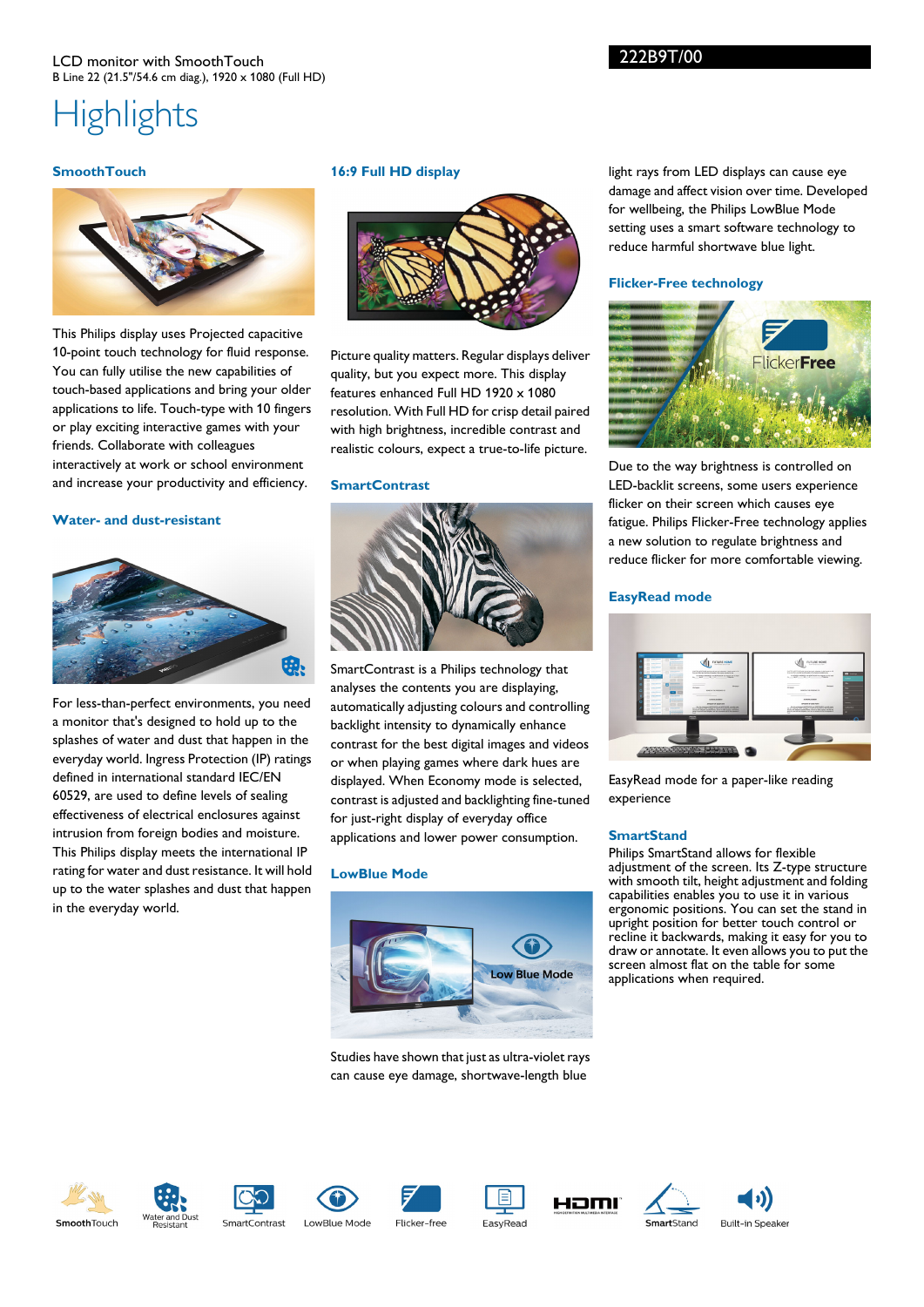## LCD monitor with SmoothTouch B Line 22 (21.5"/54.6 cm diag.), 1920 x 1080 (Full HD)

## **Highlights**

## **SmoothTouch**



This Philips display uses Projected capacitive 10-point touch technology for fluid response. You can fully utilise the new capabilities of touch-based applications and bring your older applications to life. Touch-type with 10 fingers or play exciting interactive games with your friends. Collaborate with colleagues interactively at work or school environment and increase your productivity and efficiency.

## **Water- and dust-resistant**



For less-than-perfect environments, you need a monitor that's designed to hold up to the splashes of water and dust that happen in the everyday world. Ingress Protection (IP) ratings defined in international standard IEC/EN 60529, are used to define levels of sealing effectiveness of electrical enclosures against intrusion from foreign bodies and moisture. This Philips display meets the international IP rating for water and dust resistance. It will hold up to the water splashes and dust that happen in the everyday world.

## **16:9 Full HD display**



Picture quality matters. Regular displays deliver quality, but you expect more. This display features enhanced Full HD 1920 x 1080 resolution. With Full HD for crisp detail paired with high brightness, incredible contrast and realistic colours, expect a true-to-life picture.

#### **SmartContrast**



SmartContrast is a Philips technology that analyses the contents you are displaying, automatically adjusting colours and controlling backlight intensity to dynamically enhance contrast for the best digital images and videos or when playing games where dark hues are displayed. When Economy mode is selected, contrast is adjusted and backlighting fine-tuned for just-right display of everyday office applications and lower power consumption.

## **LowBlue Mode**



Studies have shown that just as ultra-violet rays can cause eye damage, shortwave-length blue

light rays from LED displays can cause eye damage and affect vision over time. Developed for wellbeing, the Philips LowBlue Mode setting uses a smart software technology to reduce harmful shortwave blue light.

## **Flicker-Free technology**

222B9T/00



Due to the way brightness is controlled on LED-backlit screens, some users experience flicker on their screen which causes eye fatigue. Philips Flicker-Free technology applies a new solution to regulate brightness and reduce flicker for more comfortable viewing.

#### **EasyRead mode**



EasyRead mode for a paper-like reading experience

#### **SmartStand**

Philips SmartStand allows for flexible adjustment of the screen. Its Z-type structure with smooth tilt, height adjustment and folding capabilities enables you to use it in various ergonomic positions. You can set the stand in upright position for better touch control or recline it backwards, making it easy for you to draw or annotate. It even allows you to put the screen almost flat on the table for some applications when required.















**Built-in Speaker**